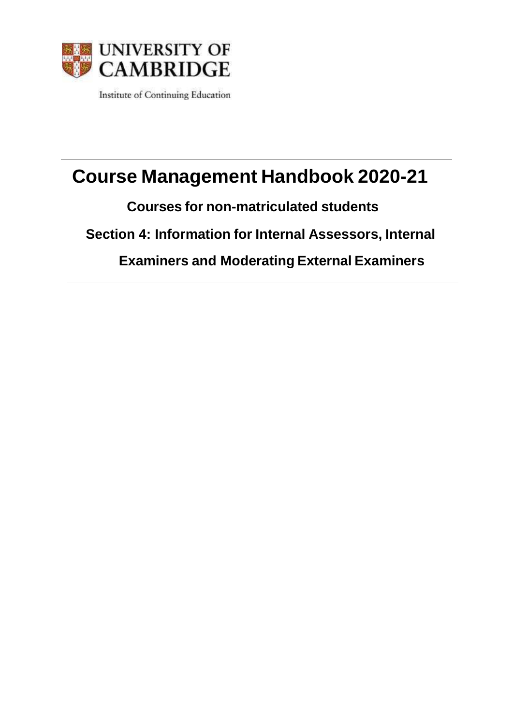

Institute of Continuing Education

# **Course Management Handbook 2020-21**

**Courses for non-matriculated students**

**Section 4: Information for Internal Assessors, Internal**

**Examiners and Moderating External Examiners**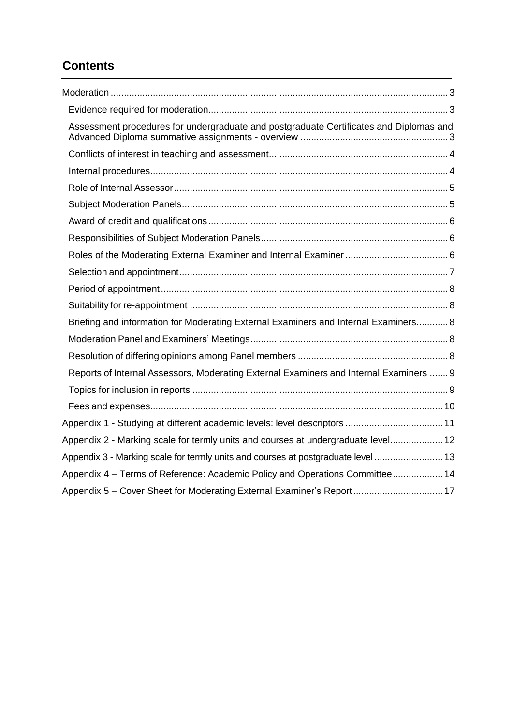# **Contents**

| Assessment procedures for undergraduate and postgraduate Certificates and Diplomas and |
|----------------------------------------------------------------------------------------|
|                                                                                        |
|                                                                                        |
|                                                                                        |
|                                                                                        |
|                                                                                        |
|                                                                                        |
|                                                                                        |
|                                                                                        |
|                                                                                        |
|                                                                                        |
| Briefing and information for Moderating External Examiners and Internal Examiners 8    |
|                                                                                        |
|                                                                                        |
| Reports of Internal Assessors, Moderating External Examiners and Internal Examiners  9 |
|                                                                                        |
|                                                                                        |
| Appendix 1 - Studying at different academic levels: level descriptors  11              |
| Appendix 2 - Marking scale for termly units and courses at undergraduate level 12      |
| Appendix 3 - Marking scale for termly units and courses at postgraduate level 13       |
| Appendix 4 - Terms of Reference: Academic Policy and Operations Committee 14           |
| Appendix 5 - Cover Sheet for Moderating External Examiner's Report 17                  |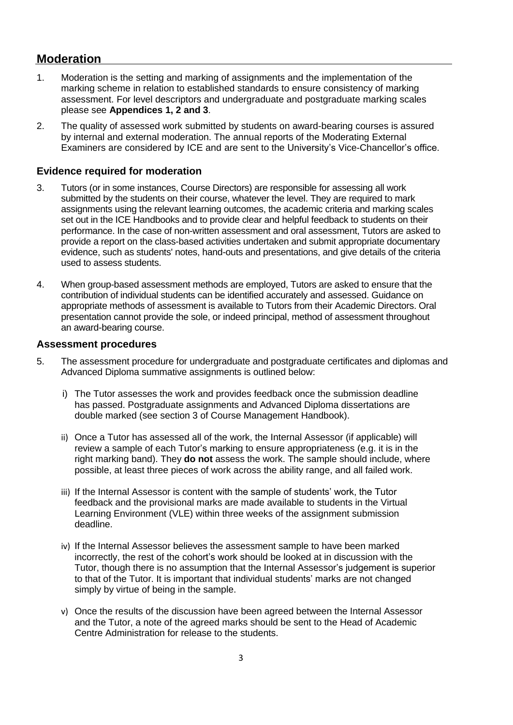# <span id="page-2-0"></span>**Moderation**

- 1. Moderation is the setting and marking of assignments and the implementation of the marking scheme in relation to established standards to ensure consistency of marking assessment. For level descriptors and undergraduate and postgraduate marking scales please see **[Appendices 1,](#page-10-0) 2 and 3**.
- 2. The quality of assessed work submitted by students on award-bearing courses is assured by internal and external moderation. The annual reports of the Moderating External Examiners are considered by ICE and are sent to the University's Vice-Chancellor's office.

#### <span id="page-2-1"></span>**Evidence required for moderation**

- 3. Tutors (or in some instances, Course Directors) are responsible for assessing all work submitted by the students on their course, whatever the level. They are required to mark assignments using the relevant learning outcomes, the academic criteria and marking scales set out in the ICE Handbooks and to provide clear and helpful feedback to students on their performance. In the case of non-written assessment and oral assessment, Tutors are asked to provide a report on the class-based activities undertaken and submit appropriate documentary evidence, such as students' notes, hand-outs and presentations, and give details of the criteria used to assess students.
- 4. When group-based assessment methods are employed, Tutors are asked to ensure that the contribution of individual students can be identified accurately and assessed. Guidance on appropriate methods of assessment is available to Tutors from their Academic Directors. Oral presentation cannot provide the sole, or indeed principal, method of assessment throughout an award-bearing course.

#### <span id="page-2-2"></span>**Assessment procedures**

- 5. The assessment procedure for undergraduate and postgraduate certificates and diplomas and Advanced Diploma summative assignments is outlined below:
	- i) The Tutor assesses the work and provides feedback once the submission deadline has passed. Postgraduate assignments and Advanced Diploma dissertations are double marked (see section 3 of Course Management Handbook).
	- ii) Once a Tutor has assessed all of the work, the Internal Assessor (if applicable) will review a sample of each Tutor's marking to ensure appropriateness (e.g. it is in the right marking band). They **do not** assess the work. The sample should include, where possible, at least three pieces of work across the ability range, and all failed work.
	- iii) If the Internal Assessor is content with the sample of students' work, the Tutor feedback and the provisional marks are made available to students in the Virtual Learning Environment (VLE) within three weeks of the assignment submission deadline.
	- iv) If the Internal Assessor believes the assessment sample to have been marked incorrectly, the rest of the cohort's work should be looked at in discussion with the Tutor, though there is no assumption that the Internal Assessor's judgement is superior to that of the Tutor. It is important that individual students' marks are not changed simply by virtue of being in the sample.
	- v) Once the results of the discussion have been agreed between the Internal Assessor and the Tutor, a note of the agreed marks should be sent to the Head of Academic Centre Administration for release to the students.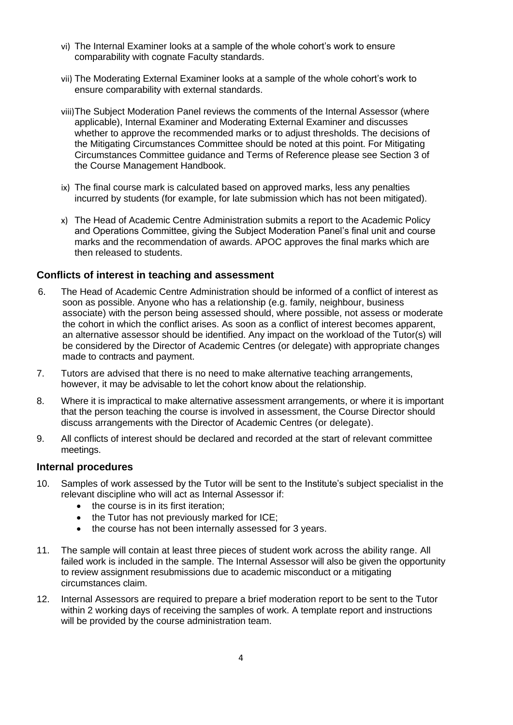- vi) The Internal Examiner looks at a sample of the whole cohort's work to ensure comparability with cognate Faculty standards.
- vii) The Moderating External Examiner looks at a sample of the whole cohort's work to ensure comparability with external standards.
- viii)The Subject Moderation Panel reviews the comments of the Internal Assessor (where applicable), Internal Examiner and Moderating External Examiner and discusses whether to approve the recommended marks or to adjust thresholds. The decisions of the Mitigating Circumstances Committee should be noted at this point. For Mitigating Circumstances Committee guidance and Terms of Reference please see Section 3 of the Course Management Handbook.
- ix) The final course mark is calculated based on approved marks, less any penalties incurred by students (for example, for late submission which has not been mitigated).
- x) The Head of Academic Centre Administration submits a report to the Academic Policy and Operations Committee, giving the Subject Moderation Panel's final unit and course marks and the recommendation of awards. APOC approves the final marks which are then released to students.

#### <span id="page-3-0"></span>**Conflicts of interest in teaching and assessment**

- 6. The Head of Academic Centre Administration should be informed of a conflict of interest as soon as possible. Anyone who has a relationship (e.g. family, neighbour, business associate) with the person being assessed should, where possible, not assess or moderate the cohort in which the conflict arises. As soon as a conflict of interest becomes apparent, an alternative assessor should be identified. Any impact on the workload of the Tutor(s) will be considered by the Director of Academic Centres (or delegate) with appropriate changes made to contracts and payment.
- 7. Tutors are advised that there is no need to make alternative teaching arrangements, however, it may be advisable to let the cohort know about the relationship.
- 8. Where it is impractical to make alternative assessment arrangements, or where it is important that the person teaching the course is involved in assessment, the Course Director should discuss arrangements with the Director of Academic Centres (or delegate).
- 9. All conflicts of interest should be declared and recorded at the start of relevant committee meetings.

#### <span id="page-3-1"></span>**Internal procedures**

- 10. Samples of work assessed by the Tutor will be sent to the Institute's subject specialist in the relevant discipline who will act as Internal Assessor if:
	- $\bullet$  the course is in its first iteration:
	- the Tutor has not previously marked for ICE:
	- the course has not been internally assessed for 3 years.
- 11. The sample will contain at least three pieces of student work across the ability range. All failed work is included in the sample. The Internal Assessor will also be given the opportunity to review assignment resubmissions due to academic misconduct or a mitigating circumstances claim.
- 12. Internal Assessors are required to prepare a brief moderation report to be sent to the Tutor within 2 working days of receiving the samples of work. A template report and instructions will be provided by the course administration team.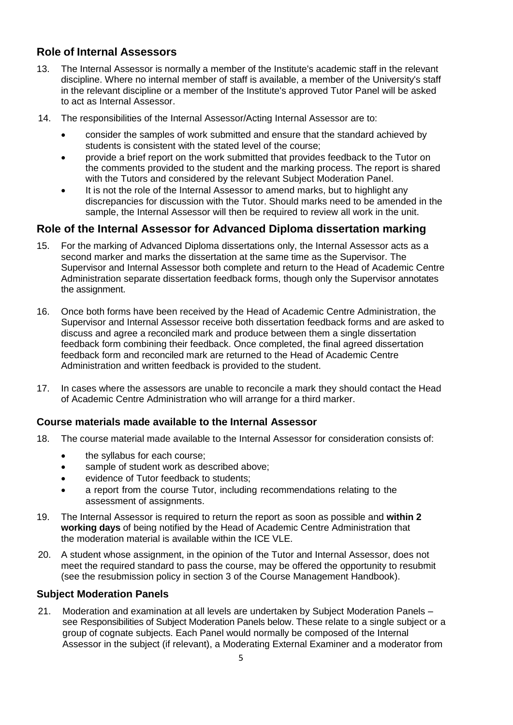## <span id="page-4-0"></span>**Role of Internal Assessors**

- 13. The Internal Assessor is normally a member of the Institute's academic staff in the relevant discipline. Where no internal member of staff is available, a member of the University's staff in the relevant discipline or a member of the Institute's approved Tutor Panel will be asked to act as Internal Assessor.
- 14. The responsibilities of the Internal Assessor/Acting Internal Assessor are to:
	- consider the samples of work submitted and ensure that the standard achieved by students is consistent with the stated level of the course;
	- provide a brief report on the work submitted that provides feedback to the Tutor on the comments provided to the student and the marking process. The report is shared with the Tutors and considered by the relevant Subject Moderation Panel.
	- It is not the role of the Internal Assessor to amend marks, but to highlight any discrepancies for discussion with the Tutor. Should marks need to be amended in the sample, the Internal Assessor will then be required to review all work in the unit.

#### **Role of the Internal Assessor for Advanced Diploma dissertation marking**

- 15. For the marking of Advanced Diploma dissertations only, the Internal Assessor acts as a second marker and marks the dissertation at the same time as the Supervisor. The Supervisor and Internal Assessor both complete and return to the Head of Academic Centre Administration separate dissertation feedback forms, though only the Supervisor annotates the assignment.
- 16. Once both forms have been received by the Head of Academic Centre Administration, the Supervisor and Internal Assessor receive both dissertation feedback forms and are asked to discuss and agree a reconciled mark and produce between them a single dissertation feedback form combining their feedback. Once completed, the final agreed dissertation feedback form and reconciled mark are returned to the Head of Academic Centre Administration and written feedback is provided to the student.
- 17. In cases where the assessors are unable to reconcile a mark they should contact the Head of Academic Centre Administration who will arrange for a third marker.

#### **Course materials made available to the Internal Assessor**

- 18. The course material made available to the Internal Assessor for consideration consists of:
	- the syllabus for each course;
	- sample of student work as described above;
	- evidence of Tutor feedback to students;
	- a report from the course Tutor, including recommendations relating to the assessment of assignments.
- 19. The Internal Assessor is required to return the report as soon as possible and **within 2 working days** of being notified by the Head of Academic Centre Administration that the moderation material is available within the ICE VLE.
- 20. A student whose assignment, in the opinion of the Tutor and Internal Assessor, does not meet the required standard to pass the course, may be offered the opportunity to resubmit (see the resubmission policy in section 3 of the Course Management Handbook).

#### <span id="page-4-1"></span>**Subject Moderation Panels**

21. Moderation and examination at all levels are undertaken by Subject Moderation Panels – see Responsibilities of Subject Moderation Panels below. These relate to a single subject or a group of cognate subjects. Each Panel would normally be composed of the Internal Assessor in the subject (if relevant), a Moderating External Examiner and a moderator from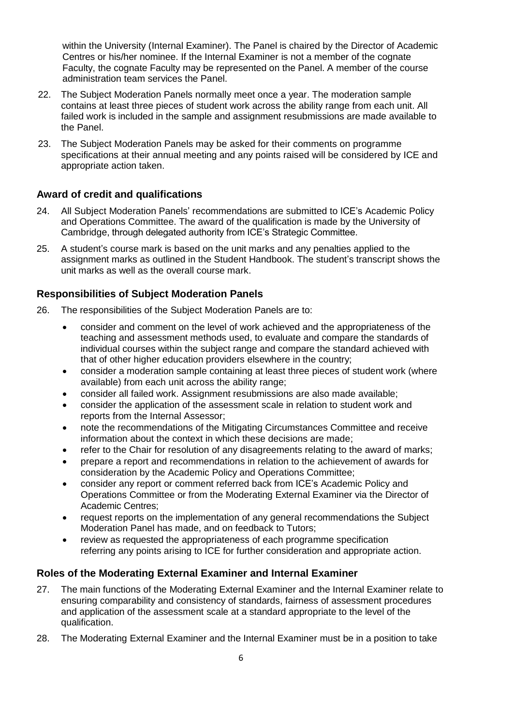within the University (Internal Examiner). The Panel is chaired by the Director of Academic Centres or his/her nominee. If the Internal Examiner is not a member of the cognate Faculty, the cognate Faculty may be represented on the Panel. A member of the course administration team services the Panel.

- 22. The Subject Moderation Panels normally meet once a year. The moderation sample contains at least three pieces of student work across the ability range from each unit. All failed work is included in the sample and assignment resubmissions are made available to the Panel.
- 23. The Subject Moderation Panels may be asked for their comments on programme specifications at their annual meeting and any points raised will be considered by ICE and appropriate action taken.

#### <span id="page-5-0"></span>**Award of credit and qualifications**

- 24. All Subject Moderation Panels' recommendations are submitted to ICE's Academic Policy and Operations Committee. The award of the qualification is made by the University of Cambridge, through delegated authority from ICE's Strategic Committee.
- 25. A student's course mark is based on the unit marks and any penalties applied to the assignment marks as outlined in the Student Handbook. The student's transcript shows the unit marks as well as the overall course mark.

#### <span id="page-5-1"></span>**Responsibilities of Subject Moderation Panels**

- 26. The responsibilities of the Subject Moderation Panels are to:
	- consider and comment on the level of work achieved and the appropriateness of the teaching and assessment methods used, to evaluate and compare the standards of individual courses within the subject range and compare the standard achieved with that of other higher education providers elsewhere in the country;
	- consider a moderation sample containing at least three pieces of student work (where available) from each unit across the ability range;
	- consider all failed work. Assignment resubmissions are also made available;
	- consider the application of the assessment scale in relation to student work and reports from the Internal Assessor;
	- note the recommendations of the Mitigating Circumstances Committee and receive information about the context in which these decisions are made;
	- refer to the Chair for resolution of any disagreements relating to the award of marks;
	- prepare a report and recommendations in relation to the achievement of awards for consideration by the Academic Policy and Operations Committee;
	- consider any report or comment referred back from ICE's Academic Policy and Operations Committee or from the Moderating External Examiner via the Director of Academic Centres;
	- request reports on the implementation of any general recommendations the Subject Moderation Panel has made, and on feedback to Tutors;
	- review as requested the appropriateness of each programme specification referring any points arising to ICE for further consideration and appropriate action.

#### <span id="page-5-2"></span>**Roles of the Moderating External Examiner and Internal Examiner**

- 27. The main functions of the Moderating External Examiner and the Internal Examiner relate to ensuring comparability and consistency of standards, fairness of assessment procedures and application of the assessment scale at a standard appropriate to the level of the qualification.
- 28. The Moderating External Examiner and the Internal Examiner must be in a position to take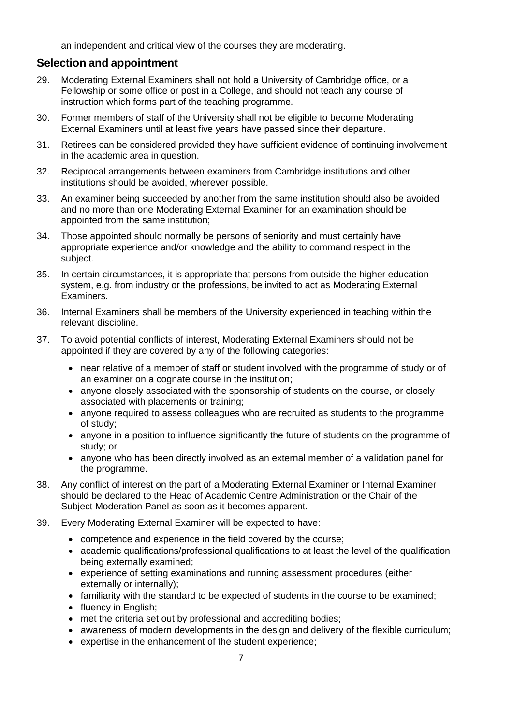an independent and critical view of the courses they are moderating.

#### <span id="page-6-0"></span>**Selection and appointment**

- 29. Moderating External Examiners shall not hold a University of Cambridge office, or a Fellowship or some office or post in a College, and should not teach any course of instruction which forms part of the teaching programme.
- 30. Former members of staff of the University shall not be eligible to become Moderating External Examiners until at least five years have passed since their departure.
- 31. Retirees can be considered provided they have sufficient evidence of continuing involvement in the academic area in question.
- 32. Reciprocal arrangements between examiners from Cambridge institutions and other institutions should be avoided, wherever possible.
- 33. An examiner being succeeded by another from the same institution should also be avoided and no more than one Moderating External Examiner for an examination should be appointed from the same institution;
- 34. Those appointed should normally be persons of seniority and must certainly have appropriate experience and/or knowledge and the ability to command respect in the subject.
- 35. In certain circumstances, it is appropriate that persons from outside the higher education system, e.g. from industry or the professions, be invited to act as Moderating External Examiners.
- 36. Internal Examiners shall be members of the University experienced in teaching within the relevant discipline.
- 37. To avoid potential conflicts of interest, Moderating External Examiners should not be appointed if they are covered by any of the following categories:
	- near relative of a member of staff or student involved with the programme of study or of an examiner on a cognate course in the institution;
	- anyone closely associated with the sponsorship of students on the course, or closely associated with placements or training;
	- anyone required to assess colleagues who are recruited as students to the programme of study;
	- anyone in a position to influence significantly the future of students on the programme of study; or
	- anyone who has been directly involved as an external member of a validation panel for the programme.
- 38. Any conflict of interest on the part of a Moderating External Examiner or Internal Examiner should be declared to the Head of Academic Centre Administration or the Chair of the Subject Moderation Panel as soon as it becomes apparent.
- 39. Every Moderating External Examiner will be expected to have:
	- competence and experience in the field covered by the course;
	- academic qualifications/professional qualifications to at least the level of the qualification being externally examined;
	- experience of setting examinations and running assessment procedures (either externally or internally);
	- familiarity with the standard to be expected of students in the course to be examined;
	- fluency in English;
	- met the criteria set out by professional and accrediting bodies;
	- awareness of modern developments in the design and delivery of the flexible curriculum;
	- expertise in the enhancement of the student experience;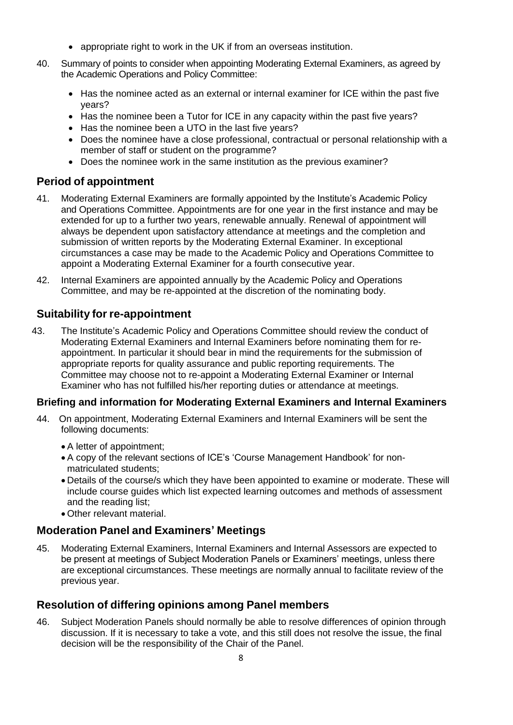- appropriate right to work in the UK if from an overseas institution.
- 40. Summary of points to consider when appointing Moderating External Examiners, as agreed by the Academic Operations and Policy Committee:
	- Has the nominee acted as an external or internal examiner for ICE within the past five years?
	- Has the nominee been a Tutor for ICE in any capacity within the past five years?
	- Has the nominee been a UTO in the last five years?
	- Does the nominee have a close professional, contractual or personal relationship with a member of staff or student on the programme?
	- Does the nominee work in the same institution as the previous examiner?

#### <span id="page-7-0"></span>**Period of appointment**

- 41. Moderating External Examiners are formally appointed by the Institute's Academic Policy and Operations Committee. Appointments are for one year in the first instance and may be extended for up to a further two years, renewable annually. Renewal of appointment will always be dependent upon satisfactory attendance at meetings and the completion and submission of written reports by the Moderating External Examiner. In exceptional circumstances a case may be made to the Academic Policy and Operations Committee to appoint a Moderating External Examiner for a fourth consecutive year.
- 42. Internal Examiners are appointed annually by the Academic Policy and Operations Committee, and may be re-appointed at the discretion of the nominating body.

#### <span id="page-7-1"></span>**Suitability for re-appointment**

43. The Institute's Academic Policy and Operations Committee should review the conduct of Moderating External Examiners and Internal Examiners before nominating them for reappointment. In particular it should bear in mind the requirements for the submission of appropriate reports for quality assurance and public reporting requirements. The Committee may choose not to re-appoint a Moderating External Examiner or Internal Examiner who has not fulfilled his/her reporting duties or attendance at meetings.

#### <span id="page-7-2"></span>**Briefing and information for Moderating External Examiners and Internal Examiners**

- 44. On appointment, Moderating External Examiners and Internal Examiners will be sent the following documents:
	- A letter of appointment;
	- A copy of the relevant sections of ICE's 'Course Management Handbook' for nonmatriculated students;
	- Details of the course/s which they have been appointed to examine or moderate. These will include course guides which list expected learning outcomes and methods of assessment and the reading list;
	- Other relevant material.

#### <span id="page-7-3"></span>**Moderation Panel and Examiners' Meetings**

45. Moderating External Examiners, Internal Examiners and Internal Assessors are expected to be present at meetings of Subject Moderation Panels or Examiners' meetings, unless there are exceptional circumstances. These meetings are normally annual to facilitate review of the previous year.

#### <span id="page-7-4"></span>**Resolution of differing opinions among Panel members**

46. Subject Moderation Panels should normally be able to resolve differences of opinion through discussion. If it is necessary to take a vote, and this still does not resolve the issue, the final decision will be the responsibility of the Chair of the Panel.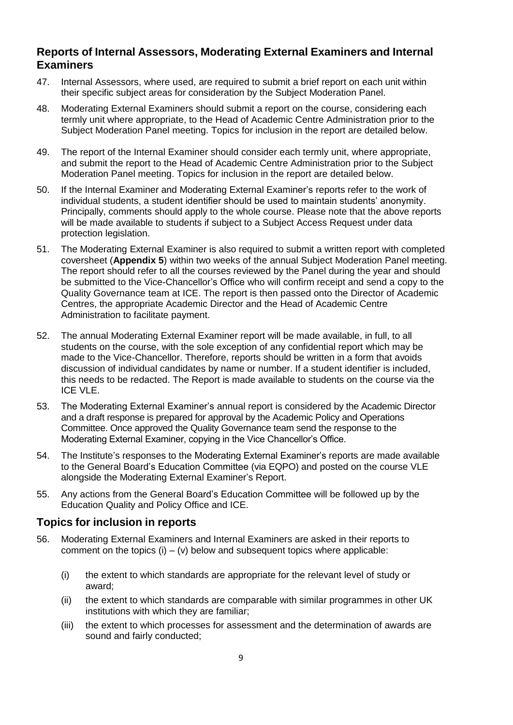#### <span id="page-8-0"></span>**Reports of Internal Assessors, Moderating External Examiners and Internal Examiners**

- 47. Internal Assessors, where used, are required to submit a brief report on each unit within their specific subject areas for consideration by the Subject Moderation Panel.
- 48. Moderating External Examiners should submit a report on the course, considering each termly unit where appropriate, to the Head of Academic Centre Administration prior to the Subject Moderation Panel meeting. Topics for inclusion in the report are detailed below.
- 49. The report of the Internal Examiner should consider each termly unit, where appropriate, and submit the report to the Head of Academic Centre Administration prior to the Subject Moderation Panel meeting. Topics for inclusion in the report are detailed below.
- 50. If the Internal Examiner and Moderating External Examiner's reports refer to the work of individual students, a student identifier should be used to maintain students' anonymity. Principally, comments should apply to the whole course. Please note that the above reports will be made available to students if subject to a Subject Access Request under data protection legislation.
- 51. The Moderating External Examiner is also required to submit a written report with completed coversheet (**[Appendix](#page-16-0) 5**) within two weeks of the annual Subject Moderation Panel meeting. The report should refer to all the courses reviewed by the Panel during the year and should be submitted to the Vice-Chancellor's Office who will confirm receipt and send a copy to the Quality Governance team at ICE. The report is then passed onto the Director of Academic Centres, the appropriate Academic Director and the Head of Academic Centre Administration to facilitate payment.
- 52. The annual Moderating External Examiner report will be made available, in full, to all students on the course, with the sole exception of any confidential report which may be made to the Vice-Chancellor. Therefore, reports should be written in a form that avoids discussion of individual candidates by name or number. If a student identifier is included, this needs to be redacted. The Report is made available to students on the course via the ICE VLE.
- 53. The Moderating External Examiner's annual report is considered by the Academic Director and a draft response is prepared for approval by the Academic Policy and Operations Committee. Once approved the Quality Governance team send the response to the Moderating External Examiner, copying in the Vice Chancellor's Office.
- 54. The Institute's responses to the Moderating External Examiner's reports are made available to the General Board's Education Committee (via EQPO) and posted on the course VLE alongside the Moderating External Examiner's Report.
- 55. Any actions from the General Board's Education Committee will be followed up by the Education Quality and Policy Office and ICE.

#### <span id="page-8-1"></span>**Topics for inclusion in reports**

- 56. Moderating External Examiners and Internal Examiners are asked in their reports to comment on the topics  $(i) - (v)$  below and subsequent topics where applicable:
	- (i) the extent to which standards are appropriate for the relevant level of study or award;
	- (ii) the extent to which standards are comparable with similar programmes in other UK institutions with which they are familiar;
	- (iii) the extent to which processes for assessment and the determination of awards are sound and fairly conducted;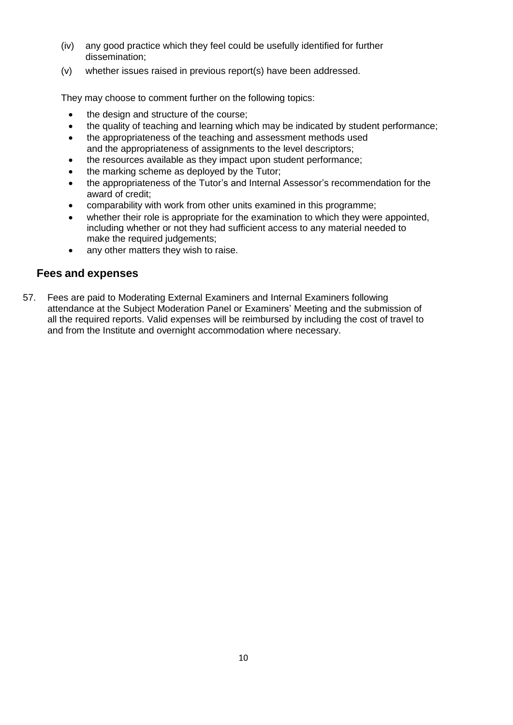- (iv) any good practice which they feel could be usefully identified for further dissemination;
- (v) whether issues raised in previous report(s) have been addressed.

They may choose to comment further on the following topics:

- the design and structure of the course;
- the quality of teaching and learning which may be indicated by student performance;
- the appropriateness of the teaching and assessment methods used and the appropriateness of assignments to the level descriptors;
- the resources available as they impact upon student performance;
- the marking scheme as deployed by the Tutor;
- the appropriateness of the Tutor's and Internal Assessor's recommendation for the award of credit;
- comparability with work from other units examined in this programme;
- whether their role is appropriate for the examination to which they were appointed, including whether or not they had sufficient access to any material needed to make the required judgements;
- any other matters they wish to raise.

#### <span id="page-9-0"></span>**Fees and expenses**

57. Fees are paid to Moderating External Examiners and Internal Examiners following attendance at the Subject Moderation Panel or Examiners' Meeting and the submission of all the required reports. Valid expenses will be reimbursed by including the cost of travel to and from the Institute and overnight accommodation where necessary.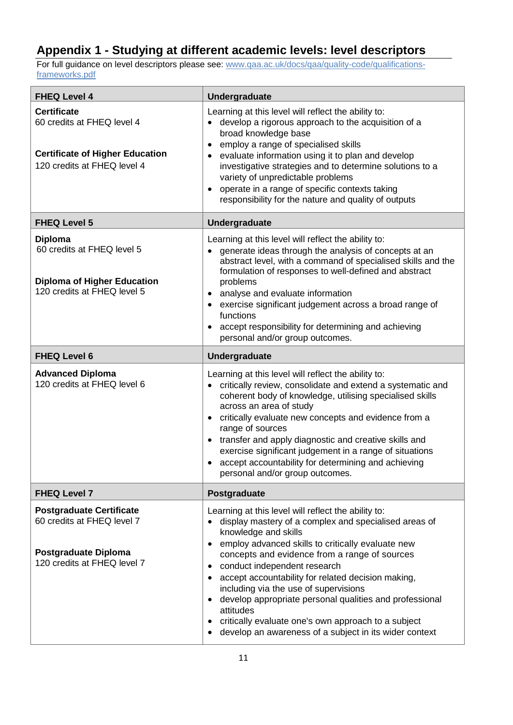# <span id="page-10-0"></span>**Appendix 1 - Studying at different academic levels: level descriptors**

For full guidance on level descriptors please see: [www.qaa.ac.uk/docs/qaa/quality-code/qualifications](https://www.qaa.ac.uk/docs/qaa/quality-code/qualifications-frameworks.pdf)[frameworks.pdf](https://www.qaa.ac.uk/docs/qaa/quality-code/qualifications-frameworks.pdf)

| <b>FHEQ Level 4</b>                                                                                                         | Undergraduate                                                                                                                                                                                                                                                                                                                                                                                                                                                                                                                                                                                |  |  |  |
|-----------------------------------------------------------------------------------------------------------------------------|----------------------------------------------------------------------------------------------------------------------------------------------------------------------------------------------------------------------------------------------------------------------------------------------------------------------------------------------------------------------------------------------------------------------------------------------------------------------------------------------------------------------------------------------------------------------------------------------|--|--|--|
| <b>Certificate</b><br>60 credits at FHEQ level 4<br><b>Certificate of Higher Education</b><br>120 credits at FHEQ level 4   | Learning at this level will reflect the ability to:<br>develop a rigorous approach to the acquisition of a<br>broad knowledge base<br>employ a range of specialised skills<br>evaluate information using it to plan and develop<br>investigative strategies and to determine solutions to a<br>variety of unpredictable problems<br>operate in a range of specific contexts taking<br>responsibility for the nature and quality of outputs                                                                                                                                                   |  |  |  |
| <b>FHEQ Level 5</b>                                                                                                         | Undergraduate                                                                                                                                                                                                                                                                                                                                                                                                                                                                                                                                                                                |  |  |  |
| <b>Diploma</b><br>60 credits at FHEQ level 5<br><b>Diploma of Higher Education</b><br>120 credits at FHEQ level 5           | Learning at this level will reflect the ability to:<br>generate ideas through the analysis of concepts at an<br>abstract level, with a command of specialised skills and the<br>formulation of responses to well-defined and abstract<br>problems<br>analyse and evaluate information<br>exercise significant judgement across a broad range of<br>functions<br>accept responsibility for determining and achieving<br>personal and/or group outcomes.                                                                                                                                       |  |  |  |
| <b>FHEQ Level 6</b>                                                                                                         | Undergraduate                                                                                                                                                                                                                                                                                                                                                                                                                                                                                                                                                                                |  |  |  |
| <b>Advanced Diploma</b><br>120 credits at FHEQ level 6                                                                      | Learning at this level will reflect the ability to:<br>critically review, consolidate and extend a systematic and<br>coherent body of knowledge, utilising specialised skills<br>across an area of study<br>critically evaluate new concepts and evidence from a<br>range of sources<br>transfer and apply diagnostic and creative skills and<br>exercise significant judgement in a range of situations<br>accept accountability for determining and achieving<br>personal and/or group outcomes.                                                                                           |  |  |  |
| <b>FHEQ Level 7</b>                                                                                                         | Postgraduate                                                                                                                                                                                                                                                                                                                                                                                                                                                                                                                                                                                 |  |  |  |
| <b>Postgraduate Certificate</b><br>60 credits at FHEQ level 7<br><b>Postgraduate Diploma</b><br>120 credits at FHEQ level 7 | Learning at this level will reflect the ability to:<br>display mastery of a complex and specialised areas of<br>knowledge and skills<br>employ advanced skills to critically evaluate new<br>$\bullet$<br>concepts and evidence from a range of sources<br>conduct independent research<br>accept accountability for related decision making,<br>$\bullet$<br>including via the use of supervisions<br>develop appropriate personal qualities and professional<br>attitudes<br>critically evaluate one's own approach to a subject<br>develop an awareness of a subject in its wider context |  |  |  |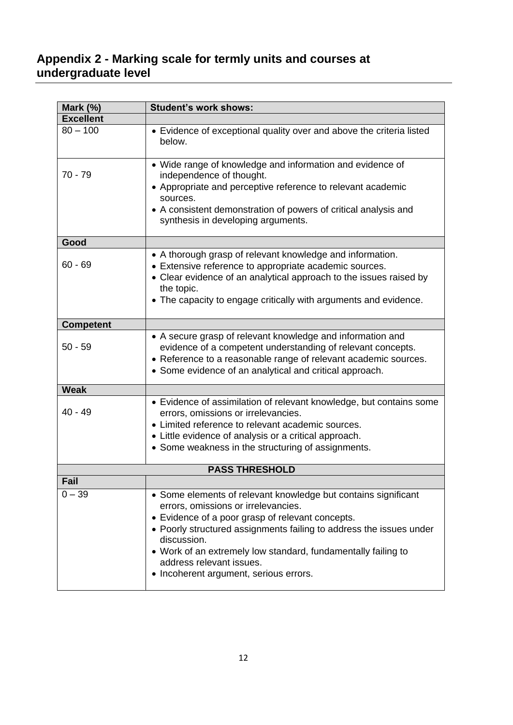# <span id="page-11-0"></span>**Appendix 2 - Marking scale for termly units and courses at undergraduate level**

| Mark $(%)$       | <b>Student's work shows:</b>                                                                                                                                                                                                                                                                                                                                                           |
|------------------|----------------------------------------------------------------------------------------------------------------------------------------------------------------------------------------------------------------------------------------------------------------------------------------------------------------------------------------------------------------------------------------|
| <b>Excellent</b> |                                                                                                                                                                                                                                                                                                                                                                                        |
| $80 - 100$       | • Evidence of exceptional quality over and above the criteria listed<br>below.                                                                                                                                                                                                                                                                                                         |
| $70 - 79$        | • Wide range of knowledge and information and evidence of<br>independence of thought.<br>• Appropriate and perceptive reference to relevant academic<br>sources.<br>• A consistent demonstration of powers of critical analysis and<br>synthesis in developing arguments.                                                                                                              |
| Good             |                                                                                                                                                                                                                                                                                                                                                                                        |
| $60 - 69$        | • A thorough grasp of relevant knowledge and information.<br>• Extensive reference to appropriate academic sources.<br>• Clear evidence of an analytical approach to the issues raised by<br>the topic.<br>• The capacity to engage critically with arguments and evidence.                                                                                                            |
| <b>Competent</b> |                                                                                                                                                                                                                                                                                                                                                                                        |
| $50 - 59$        | • A secure grasp of relevant knowledge and information and<br>evidence of a competent understanding of relevant concepts.<br>• Reference to a reasonable range of relevant academic sources.<br>• Some evidence of an analytical and critical approach.                                                                                                                                |
| <b>Weak</b>      |                                                                                                                                                                                                                                                                                                                                                                                        |
| $40 - 49$        | • Evidence of assimilation of relevant knowledge, but contains some<br>errors, omissions or irrelevancies.<br>• Limited reference to relevant academic sources.<br>• Little evidence of analysis or a critical approach.<br>• Some weakness in the structuring of assignments.                                                                                                         |
|                  | <b>PASS THRESHOLD</b>                                                                                                                                                                                                                                                                                                                                                                  |
| Fail             |                                                                                                                                                                                                                                                                                                                                                                                        |
| $0 - 39$         | • Some elements of relevant knowledge but contains significant<br>errors, omissions or irrelevancies.<br>• Evidence of a poor grasp of relevant concepts.<br>• Poorly structured assignments failing to address the issues under<br>discussion.<br>• Work of an extremely low standard, fundamentally failing to<br>address relevant issues.<br>• Incoherent argument, serious errors. |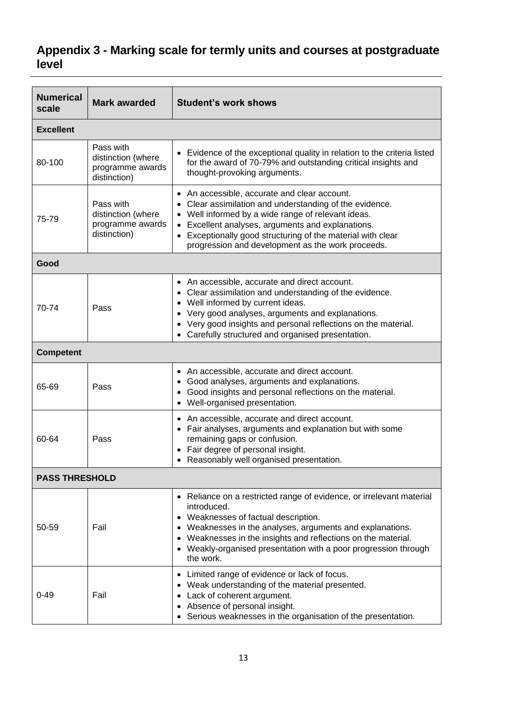# <span id="page-12-0"></span>**Appendix 3 - Marking scale for termly units and courses at postgraduate level**

| <b>Numerical</b><br>scale | <b>Mark awarded</b>                                                 | <b>Student's work shows</b>                                                                                                                                                                                                                                                                                                            |  |  |  |
|---------------------------|---------------------------------------------------------------------|----------------------------------------------------------------------------------------------------------------------------------------------------------------------------------------------------------------------------------------------------------------------------------------------------------------------------------------|--|--|--|
| <b>Excellent</b>          |                                                                     |                                                                                                                                                                                                                                                                                                                                        |  |  |  |
| 80-100                    | Pass with<br>distinction (where<br>programme awards<br>distinction) | • Evidence of the exceptional quality in relation to the criteria listed<br>for the award of 70-79% and outstanding critical insights and<br>thought-provoking arguments.                                                                                                                                                              |  |  |  |
| 75-79                     | Pass with<br>distinction (where<br>programme awards<br>distinction) | • An accessible, accurate and clear account.<br>• Clear assimilation and understanding of the evidence.<br>• Well informed by a wide range of relevant ideas.<br>• Excellent analyses, arguments and explanations.<br>• Exceptionally good structuring of the material with clear<br>progression and development as the work proceeds. |  |  |  |
| Good                      |                                                                     |                                                                                                                                                                                                                                                                                                                                        |  |  |  |
| 70-74                     | Pass                                                                | • An accessible, accurate and direct account.<br>• Clear assimilation and understanding of the evidence.<br>• Well informed by current ideas.<br>• Very good analyses, arguments and explanations.<br>Very good insights and personal reflections on the material.<br>Carefully structured and organised presentation.                 |  |  |  |
| <b>Competent</b>          |                                                                     |                                                                                                                                                                                                                                                                                                                                        |  |  |  |
| 65-69                     | Pass                                                                | • An accessible, accurate and direct account.<br>• Good analyses, arguments and explanations.<br>• Good insights and personal reflections on the material.<br>• Well-organised presentation.                                                                                                                                           |  |  |  |
| 60-64                     | Pass                                                                | • An accessible, accurate and direct account.<br>• Fair analyses, arguments and explanation but with some<br>remaining gaps or confusion.<br>• Fair degree of personal insight.<br>Reasonably well organised presentation.                                                                                                             |  |  |  |
|                           | <b>PASS THRESHOLD</b>                                               |                                                                                                                                                                                                                                                                                                                                        |  |  |  |
| 50-59                     | Fail                                                                | • Reliance on a restricted range of evidence, or irrelevant material<br>introduced.<br>• Weaknesses of factual description.<br>Weaknesses in the analyses, arguments and explanations.<br>Weaknesses in the insights and reflections on the material.<br>Weakly-organised presentation with a poor progression through<br>the work.    |  |  |  |
| $0 - 49$                  | Fail                                                                | Limited range of evidence or lack of focus.<br>Weak understanding of the material presented.<br>Lack of coherent argument.<br>Absence of personal insight.<br>Serious weaknesses in the organisation of the presentation.                                                                                                              |  |  |  |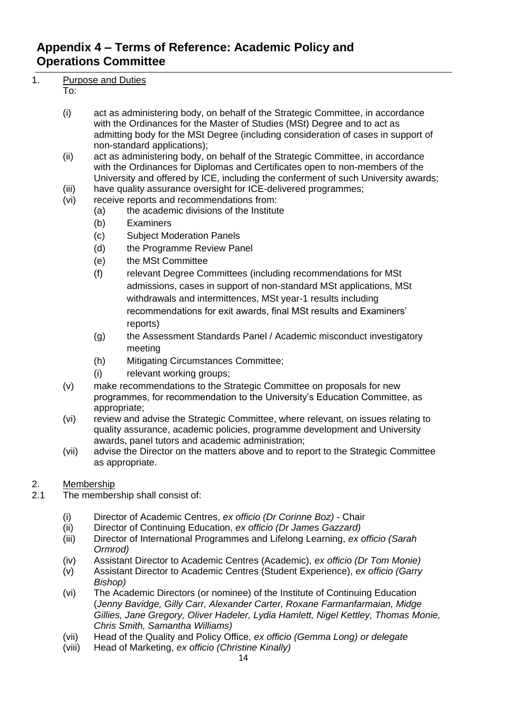# <span id="page-13-0"></span>**Appendix 4 – Terms of Reference: Academic Policy and Operations Committee**

### 1. Purpose and Duties

#### To:

- (i) act as administering body, on behalf of the Strategic Committee, in accordance with the Ordinances for the Master of Studies (MSt) Degree and to act as admitting body for the MSt Degree (including consideration of cases in support of non-standard applications);
- (ii) act as administering body, on behalf of the Strategic Committee, in accordance with the Ordinances for Diplomas and Certificates open to non-members of the University and offered by ICE, including the conferment of such University awards;
- (iii) have quality assurance oversight for ICE-delivered programmes;
- (vi) receive reports and recommendations from:
	- (a) the academic divisions of the Institute
	- (b) Examiners
	- (c) Subject Moderation Panels
	- (d) the Programme Review Panel
	- (e) the MSt Committee
	- (f) relevant Degree Committees (including recommendations for MSt admissions, cases in support of non-standard MSt applications, MSt withdrawals and intermittences, MSt year-1 results including recommendations for exit awards, final MSt results and Examiners' reports)
	- (g) the Assessment Standards Panel / Academic misconduct investigatory meeting
	- (h) Mitigating Circumstances Committee;
	- (i) relevant working groups;
- (v) make recommendations to the Strategic Committee on proposals for new programmes, for recommendation to the University's Education Committee, as appropriate;
- (vi) review and advise the Strategic Committee, where relevant, on issues relating to quality assurance, academic policies, programme development and University awards, panel tutors and academic administration;
- (vii) advise the Director on the matters above and to report to the Strategic Committee as appropriate.

#### 2. Membership

- 2.1 The membership shall consist of:
	- (i) Director of Academic Centres, *ex officio (Dr Corinne Boz) -* Chair
	- (ii) Director of Continuing Education, *ex officio (Dr James Gazzard)*
	- (iii) Director of International Programmes and Lifelong Learning, *ex officio (Sarah Ormrod)*
	- (iv) Assistant Director to Academic Centres (Academic), *ex officio (Dr Tom Monie)*
	- (v) Assistant Director to Academic Centres (Student Experience), *ex officio (Garry Bishop)*
	- (vi) The Academic Directors (or nominee) of the Institute of Continuing Education (*Jenny Bavidge, Gilly Carr, Alexander Carter, Roxane Farmanfarmaian, Midge Gillies, Jane Gregory, Oliver Hadeler, Lydia Hamlett, Nigel Kettley, Thomas Monie, Chris Smith, Samantha Williams)*
	- (vii) Head of the Quality and Policy Office, *ex officio (Gemma Long) or delegate*
	- (viii) Head of Marketing, *ex officio (Christine Kinally)*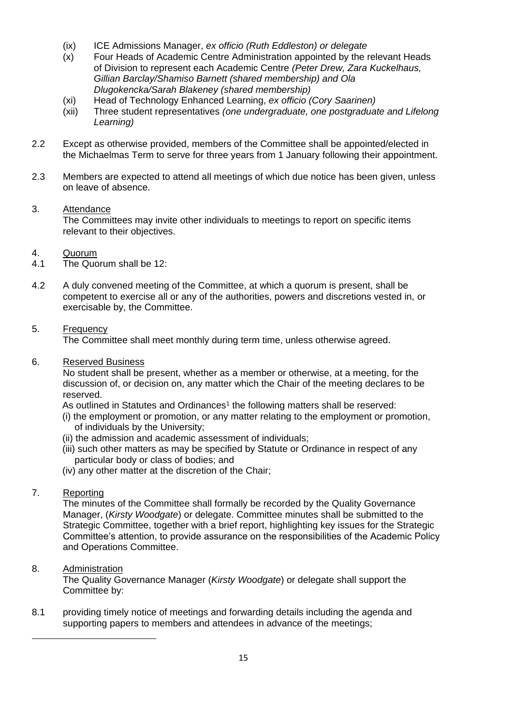- (ix) ICE Admissions Manager, *ex officio (Ruth Eddleston) or delegate*
- (x) Four Heads of Academic Centre Administration appointed by the relevant Heads of Division to represent each Academic Centre *(Peter Drew, Zara Kuckelhaus, Gillian Barclay/Shamiso Barnett (shared membership) and Ola Dlugokencka/Sarah Blakeney (shared membership)*
- (xi) Head of Technology Enhanced Learning, *ex officio (Cory Saarinen)*
- (xii) Three student representatives *(one undergraduate, one postgraduate and Lifelong Learning)*
- 2.2 Except as otherwise provided, members of the Committee shall be appointed/elected in the Michaelmas Term to serve for three years from 1 January following their appointment.
- 2.3 Members are expected to attend all meetings of which due notice has been given, unless on leave of absence.

#### 3. Attendance

The Committees may invite other individuals to meetings to report on specific items relevant to their objectives.

#### 4. Quorum

- 4.1 The Quorum shall be 12:
- 4.2 A duly convened meeting of the Committee, at which a quorum is present, shall be competent to exercise all or any of the authorities, powers and discretions vested in, or exercisable by, the Committee.

#### 5. Frequency

The Committee shall meet monthly during term time, unless otherwise agreed.

6. Reserved Business

No student shall be present, whether as a member or otherwise, at a meeting, for the discussion of, or decision on, any matter which the Chair of the meeting declares to be reserved.

As outlined in Statutes and Ordinances<sup>1</sup> the following matters shall be reserved:

- (i) the employment or promotion, or any matter relating to the employment or promotion, of individuals by the University;
- (ii) the admission and academic assessment of individuals;
- (iii) such other matters as may be specified by Statute or Ordinance in respect of any particular body or class of bodies; and
- (iv) any other matter at the discretion of the Chair;

#### 7. Reporting

The minutes of the Committee shall formally be recorded by the Quality Governance Manager, (*Kirsty Woodgate*) or delegate. Committee minutes shall be submitted to the Strategic Committee, together with a brief report, highlighting key issues for the Strategic Committee's attention, to provide assurance on the responsibilities of the Academic Policy and Operations Committee.

#### 8. Administration

 $\overline{a}$ 

The Quality Governance Manager (*Kirsty Woodgate*) or delegate shall support the Committee by:

8.1 providing timely notice of meetings and forwarding details including the agenda and supporting papers to members and attendees in advance of the meetings;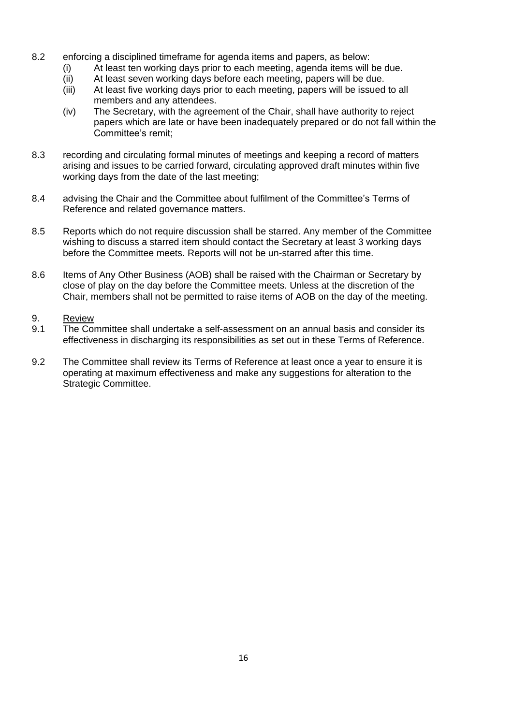- 8.2 enforcing a disciplined timeframe for agenda items and papers, as below:
	- (i) At least ten working days prior to each meeting, agenda items will be due.
	- (ii) At least seven working days before each meeting, papers will be due.
	- (iii) At least five working days prior to each meeting, papers will be issued to all members and any attendees.
	- (iv) The Secretary, with the agreement of the Chair, shall have authority to reject papers which are late or have been inadequately prepared or do not fall within the Committee's remit;
- 8.3 recording and circulating formal minutes of meetings and keeping a record of matters arising and issues to be carried forward, circulating approved draft minutes within five working days from the date of the last meeting;
- 8.4 advising the Chair and the Committee about fulfilment of the Committee's Terms of Reference and related governance matters.
- 8.5 Reports which do not require discussion shall be starred. Any member of the Committee wishing to discuss a starred item should contact the Secretary at least 3 working days before the Committee meets. Reports will not be un-starred after this time.
- 8.6 Items of Any Other Business (AOB) shall be raised with the Chairman or Secretary by close of play on the day before the Committee meets. Unless at the discretion of the Chair, members shall not be permitted to raise items of AOB on the day of the meeting.

#### 9. Review

- 9.1 The Committee shall undertake a self-assessment on an annual basis and consider its effectiveness in discharging its responsibilities as set out in these Terms of Reference.
- 9.2 The Committee shall review its Terms of Reference at least once a year to ensure it is operating at maximum effectiveness and make any suggestions for alteration to the Strategic Committee.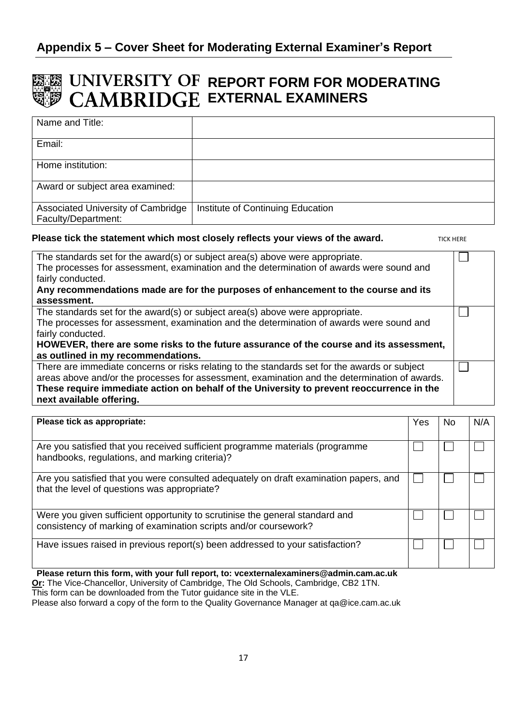# <span id="page-16-0"></span>**REPORT FORM FOR MODERATING EXTERNAL EXAMINERS**

| Name and Title:                                           |                                   |
|-----------------------------------------------------------|-----------------------------------|
| Email:                                                    |                                   |
| Home institution:                                         |                                   |
| Award or subject area examined:                           |                                   |
| Associated University of Cambridge<br>Faculty/Department: | Institute of Continuing Education |

#### **Please tick the statement which most closely reflects your views of the award.**

TICK HERE

| The standards set for the award(s) or subject area(s) above were appropriate.                 |  |
|-----------------------------------------------------------------------------------------------|--|
| The processes for assessment, examination and the determination of awards were sound and      |  |
| fairly conducted.                                                                             |  |
| Any recommendations made are for the purposes of enhancement to the course and its            |  |
| assessment.                                                                                   |  |
| The standards set for the award(s) or subject area(s) above were appropriate.                 |  |
| The processes for assessment, examination and the determination of awards were sound and      |  |
| fairly conducted.                                                                             |  |
| HOWEVER, there are some risks to the future assurance of the course and its assessment,       |  |
| as outlined in my recommendations.                                                            |  |
| There are immediate concerns or risks relating to the standards set for the awards or subject |  |
| areas above and/or the processes for assessment, examination and the determination of awards. |  |
| These require immediate action on behalf of the University to prevent reoccurrence in the     |  |
| next available offering.                                                                      |  |
|                                                                                               |  |

| Please tick as appropriate:                                                                                                                      | Yes | No. | N/A |
|--------------------------------------------------------------------------------------------------------------------------------------------------|-----|-----|-----|
| Are you satisfied that you received sufficient programme materials (programme<br>handbooks, regulations, and marking criteria)?                  |     |     |     |
| Are you satisfied that you were consulted adequately on draft examination papers, and<br>that the level of questions was appropriate?            |     |     |     |
| Were you given sufficient opportunity to scrutinise the general standard and<br>consistency of marking of examination scripts and/or coursework? |     |     |     |
| Have issues raised in previous report(s) been addressed to your satisfaction?                                                                    |     |     |     |

**Please return this form, with your full report, to: vcexternalexaminers@admin.cam.ac.uk Or:** The Vice-Chancellor, University of Cambridge, The Old Schools, Cambridge, CB2 1TN. This form can be downloaded from the Tutor guidance site in the VLE. Please also forward a copy of the form to the Quality Governance Manager at qa@ice.cam.ac.uk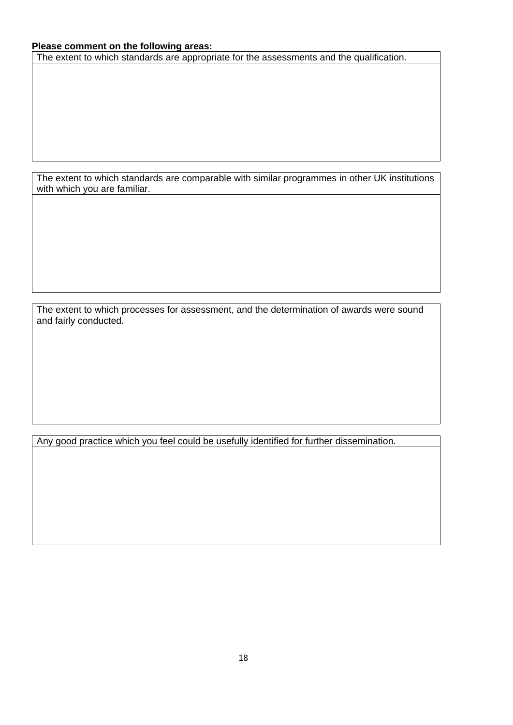#### **Please comment on the following areas:**

The extent to which standards are appropriate for the assessments and the qualification.

The extent to which standards are comparable with similar programmes in other UK institutions with which you are familiar.

The extent to which processes for assessment, and the determination of awards were sound and fairly conducted.

Any good practice which you feel could be usefully identified for further dissemination.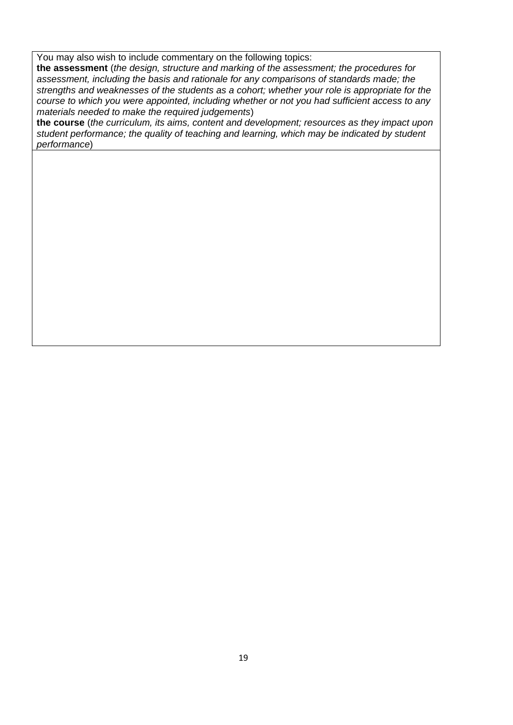You may also wish to include commentary on the following topics:

**the assessment** (*the design, structure and marking of the assessment; the procedures for assessment, including the basis and rationale for any comparisons of standards made; the strengths and weaknesses of the students as a cohort; whether your role is appropriate for the course to which you were appointed, including whether or not you had sufficient access to any materials needed to make the required judgements*)

**the course** (*the curriculum, its aims, content and development; resources as they impact upon student performance; the quality of teaching and learning, which may be indicated by student performance*)